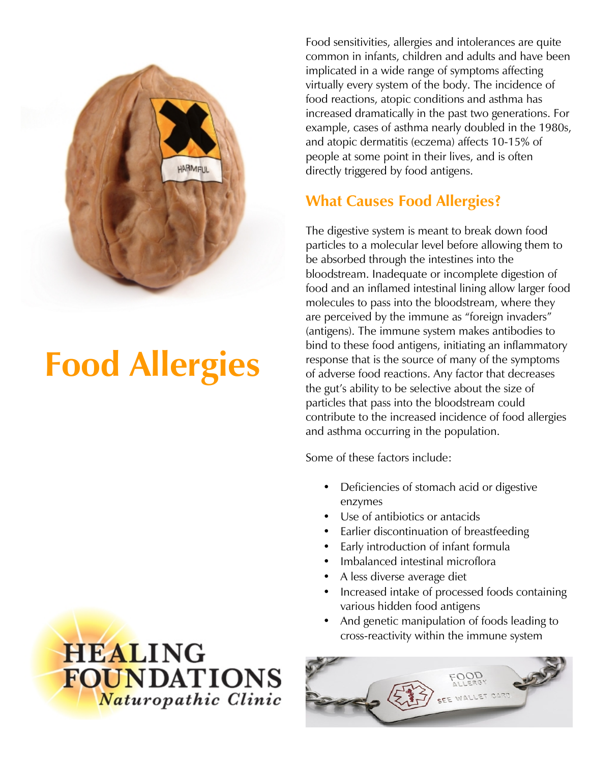

# **Food Allergies**

**HEALING FOUNDATIONS** Naturopathic Clinic

Food sensitivities, allergies and intolerances are quite common in infants, children and adults and have been implicated in a wide range of symptoms affecting virtually every system of the body. The incidence of food reactions, atopic conditions and asthma has increased dramatically in the past two generations. For example, cases of asthma nearly doubled in the 1980s, and atopic dermatitis (eczema) affects 10-15% of people at some point in their lives, and is often directly triggered by food antigens.

## **What Causes Food Allergies?**

The digestive system is meant to break down food particles to a molecular level before allowing them to be absorbed through the intestines into the bloodstream. Inadequate or incomplete digestion of food and an inflamed intestinal lining allow larger food molecules to pass into the bloodstream, where they are perceived by the immune as "foreign invaders" (antigens). The immune system makes antibodies to bind to these food antigens, initiating an inflammatory response that is the source of many of the symptoms of adverse food reactions. Any factor that decreases the gut's ability to be selective about the size of particles that pass into the bloodstream could contribute to the increased incidence of food allergies and asthma occurring in the population.

Some of these factors include:

- Deficiencies of stomach acid or digestive enzymes
- Use of antibiotics or antacids
- Earlier discontinuation of breastfeeding
- Early introduction of infant formula
- Imbalanced intestinal microflora
- A less diverse average diet
- Increased intake of processed foods containing various hidden food antigens
- And genetic manipulation of foods leading to cross-reactivity within the immune system

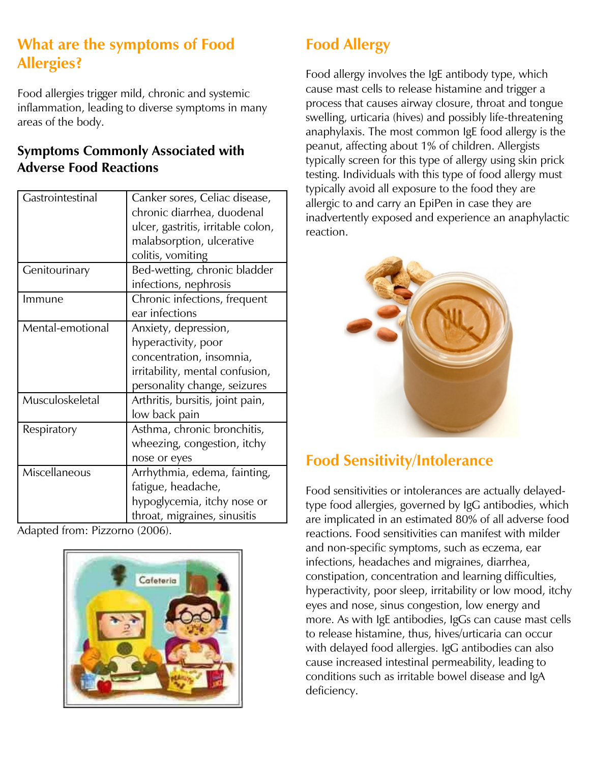## **What are the symptoms of Food Allergies?**

Food allergies trigger mild, chronic and systemic inflammation, leading to diverse symptoms in many areas of the body.

#### **Symptoms Commonly Associated with Adverse Food Reactions**

| Gastrointestinal | Canker sores, Celiac disease,      |
|------------------|------------------------------------|
|                  | chronic diarrhea, duodenal         |
|                  | ulcer, gastritis, irritable colon, |
|                  | malabsorption, ulcerative          |
|                  | colitis, vomiting                  |
| Genitourinary    | Bed-wetting, chronic bladder       |
|                  | infections, nephrosis              |
| Immune           | Chronic infections, frequent       |
|                  | ear infections                     |
| Mental-emotional | Anxiety, depression,               |
|                  | hyperactivity, poor                |
|                  | concentration, insomnia,           |
|                  | irritability, mental confusion,    |
|                  | personality change, seizures       |
| Musculoskeletal  | Arthritis, bursitis, joint pain,   |
|                  | low back pain                      |
| Respiratory      | Asthma, chronic bronchitis,        |
|                  | wheezing, congestion, itchy        |
|                  | nose or eyes                       |
| Miscellaneous    | Arrhythmia, edema, fainting,       |
|                  | fatigue, headache,                 |
|                  | hypoglycemia, itchy nose or        |
|                  | throat, migraines, sinusitis       |

Adapted from: Pizzorno (2006).



# **Food Allergy**

Food allergy involves the IgE antibody type, which cause mast cells to release histamine and trigger a process that causes airway closure, throat and tongue swelling, urticaria (hives) and possibly life-threatening anaphylaxis. The most common IgE food allergy is the peanut, affecting about 1% of children. Allergists typically screen for this type of allergy using skin prick testing. Individuals with this type of food allergy must typically avoid all exposure to the food they are allergic to and carry an EpiPen in case they are inadvertently exposed and experience an anaphylactic reaction.



## **Food Sensitivity/Intolerance**

Food sensitivities or intolerances are actually delayedtype food allergies, governed by IgG antibodies, which are implicated in an estimated 80% of all adverse food reactions. Food sensitivities can manifest with milder and non-specific symptoms, such as eczema, ear infections, headaches and migraines, diarrhea, constipation, concentration and learning difficulties, hyperactivity, poor sleep, irritability or low mood, itchy eyes and nose, sinus congestion, low energy and more. As with IgE antibodies, IgGs can cause mast cells to release histamine, thus, hives/urticaria can occur with delayed food allergies. IgG antibodies can also cause increased intestinal permeability, leading to conditions such as irritable bowel disease and IgA deficiency.